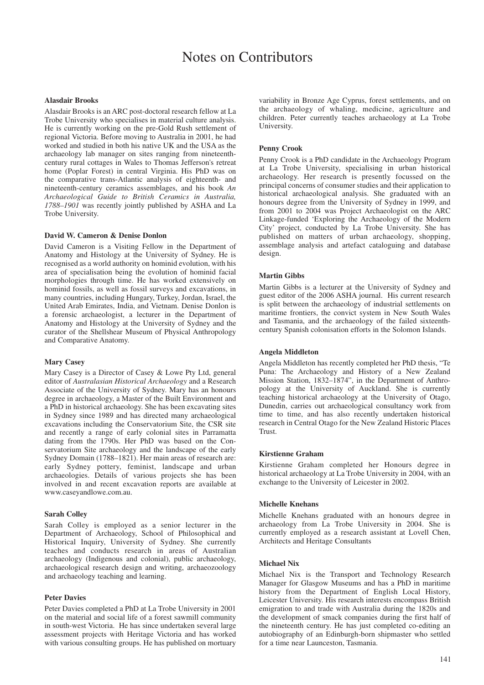# Notes on Contributors

## **Alasdair Brooks**

Alasdair Brooks is an ARC post-doctoral research fellow at La Trobe University who specialises in material culture analysis. He is currently working on the pre-Gold Rush settlement of regional Victoria. Before moving to Australia in 2001, he had worked and studied in both his native UK and the USA as the archaeology lab manager on sites ranging from nineteenthcentury rural cottages in Wales to Thomas Jefferson's retreat home (Poplar Forest) in central Virginia. His PhD was on the comparative trans-Atlantic analysis of eighteenth- and nineteenth-century ceramics assemblages, and his book *An Archaeological Guide to British Ceramics in Australia, 1788–1901* was recently jointly published by ASHA and La Trobe University.

# **David W. Cameron & Denise Donlon**

David Cameron is a Visiting Fellow in the Department of Anatomy and Histology at the University of Sydney. He is recognised as a world authority on hominid evolution, with his area of specialisation being the evolution of hominid facial morphologies through time. He has worked extensively on hominid fossils, as well as fossil surveys and excavations, in many countries, including Hungary, Turkey, Jordan, Israel, the United Arab Emirates, India, and Vietnam. Denise Donlon is a forensic archaeologist, a lecturer in the Department of Anatomy and Histology at the University of Sydney and the curator of the Shellshear Museum of Physical Anthropology and Comparative Anatomy.

### **Mary Casey**

Mary Casey is a Director of Casey & Lowe Pty Ltd, general editor of *Australasian Historical Archaeology* and a Research Associate of the University of Sydney. Mary has an honours degree in archaeology, a Master of the Built Environment and a PhD in historical archaeology. She has been excavating sites in Sydney since 1989 and has directed many archaeological excavations including the Conservatorium Site, the CSR site and recently a range of early colonial sites in Parramatta dating from the 1790s. Her PhD was based on the Conservatorium Site archaeology and the landscape of the early Sydney Domain (1788–1821). Her main areas of research are: early Sydney pottery, feminist, landscape and urban archaeologies. Details of various projects she has been involved in and recent excavation reports are available at www.caseyandlowe.com.au.

## **Sarah Colley**

Sarah Colley is employed as a senior lecturer in the Department of Archaeology, School of Philosophical and Historical Inquiry, University of Sydney. She currently teaches and conducts research in areas of Australian archaeology (Indigenous and colonial), public archaeology, archaeological research design and writing, archaeozoology and archaeology teaching and learning.

### **Peter Davies**

Peter Davies completed a PhD at La Trobe University in 2001 on the material and social life of a forest sawmill community in south-west Victoria. He has since undertaken several large assessment projects with Heritage Victoria and has worked with various consulting groups. He has published on mortuary

variability in Bronze Age Cyprus, forest settlements, and on the archaeology of whaling, medicine, agriculture and children. Peter currently teaches archaeology at La Trobe University.

## **Penny Crook**

Penny Crook is a PhD candidate in the Archaeology Program at La Trobe University, specialising in urban historical archaeology. Her research is presently focussed on the principal concerns of consumer studies and their application to historical archaeological analysis. She graduated with an honours degree from the University of Sydney in 1999, and from 2001 to 2004 was Project Archaeologist on the ARC Linkage-funded 'Exploring the Archaeology of the Modern City' project, conducted by La Trobe University. She has published on matters of urban archaeology, shopping, assemblage analysis and artefact cataloguing and database design.

#### **Martin Gibbs**

Martin Gibbs is a lecturer at the University of Sydney and guest editor of the 2006 ASHA journal. His current research is split between the archaeology of industrial settlements on maritime frontiers, the convict system in New South Wales and Tasmania, and the archaeology of the failed sixteenthcentury Spanish colonisation efforts in the Solomon Islands.

## **Angela Middleton**

Angela Middleton has recently completed her PhD thesis, "Te Puna: The Archaeology and History of a New Zealand Mission Station, 1832–1874", in the Department of Anthropology at the University of Auckland. She is currently teaching historical archaeology at the University of Otago, Dunedin, carries out archaeological consultancy work from time to time, and has also recently undertaken historical research in Central Otago for the New Zealand Historic Places Trust.

#### **Kirstienne Graham**

Kirstienne Graham completed her Honours degree in historical archaeology at La Trobe University in 2004, with an exchange to the University of Leicester in 2002.

## **Michelle Knehans**

Michelle Knehans graduated with an honours degree in archaeology from La Trobe University in 2004. She is currently employed as a research assistant at Lovell Chen, Architects and Heritage Consultants

## **Michael Nix**

Michael Nix is the Transport and Technology Research Manager for Glasgow Museums and has a PhD in maritime history from the Department of English Local History, Leicester University. His research interests encompass British emigration to and trade with Australia during the 1820s and the development of smack companies during the first half of the nineteenth century. He has just completed co-editing an autobiography of an Edinburgh-born shipmaster who settled for a time near Launceston, Tasmania.